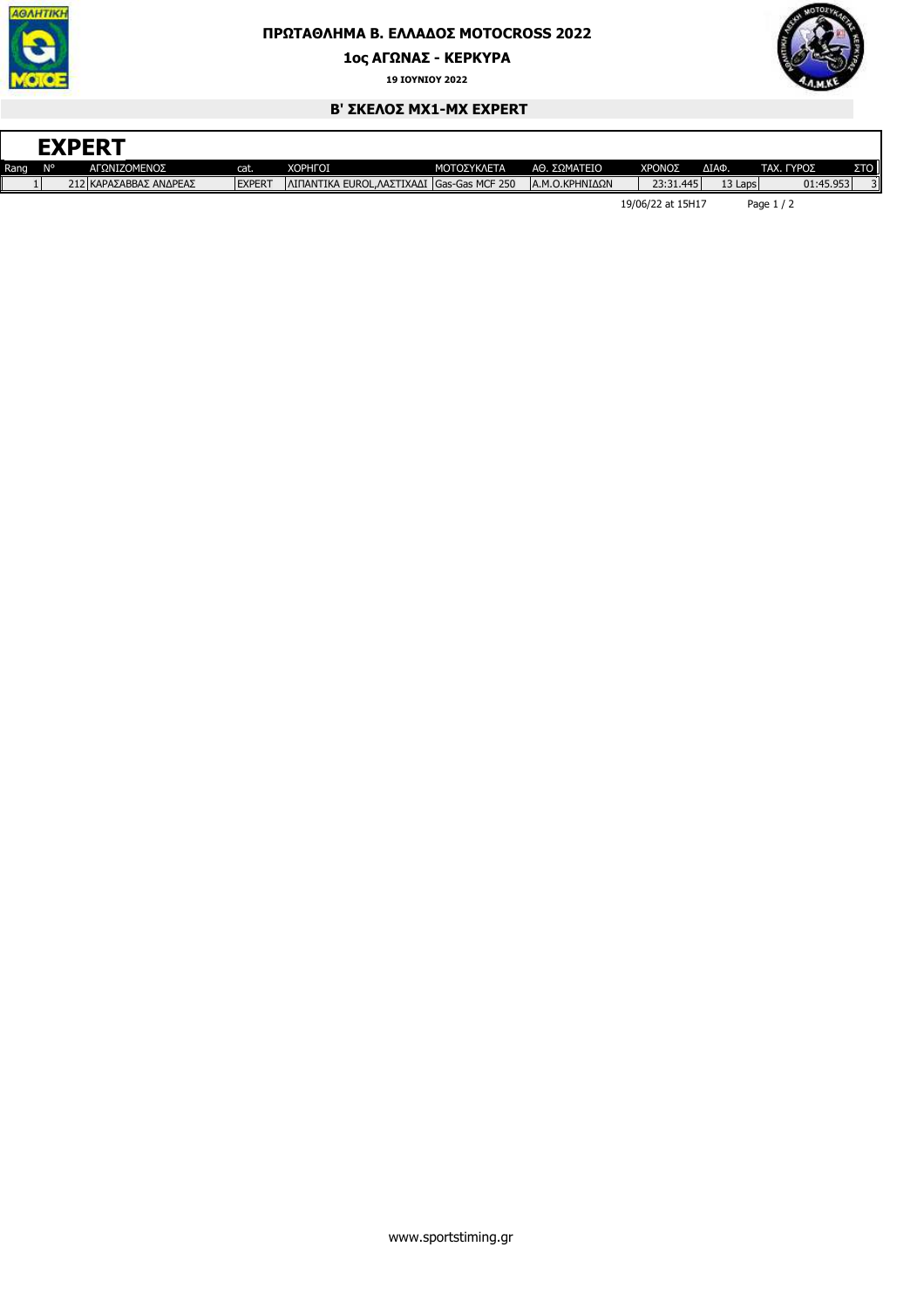

## **ΠΡΩΤΑΘΛΗΜΑ Β. ΕΛΛΑ∆ΟΣ MOTOCROSS 2022**

**1ος ΑΓΩΝΑΣ - ΚΕΡΚΥΡΑ**

**19 ΙΟΥΝΙΟΥ 2022**



٦

## **Β' ΣΚΕΛΟΣ ΜΧ1-MX EXPERT**

|      |    | <b>EXPERT</b>          |               |                                            |                    |                 |                   |         |            |     |
|------|----|------------------------|---------------|--------------------------------------------|--------------------|-----------------|-------------------|---------|------------|-----|
| Rang | N° | ΑΓΩΝΙΖΟΜΕΝΟΣ           | reali.        | <b>XOPHFOI</b>                             | <b>ΜΟΤΟΣΥΚΛΕΤΑ</b> | ΑΘ. ΣΩΜΑΤΕΙΟ    | ΧΡΟΝΟΣ            | ΔΙΑΦ.   | ΤΑΧ. ΓΥΡΟΣ | ΣTO |
|      |    | 212 ΚΑΡΑΣΑΒΒΑΣ ΑΝΔΡΕΑΣ | <b>EXPERT</b> | ΛΙΠΑΝΤΙΚΑ EUROL, ΛΑΣΤΙΧΑΔΙ Gas-Gas MCF 250 |                    | ΙΑ.Μ.Ο.ΚΡΗΝΙΔΩΝ | 23:31.445         | 13 Laps | 01:45.953  |     |
|      |    |                        |               |                                            |                    |                 | 19/06/22 at 15H17 |         | Page $1/2$ |     |